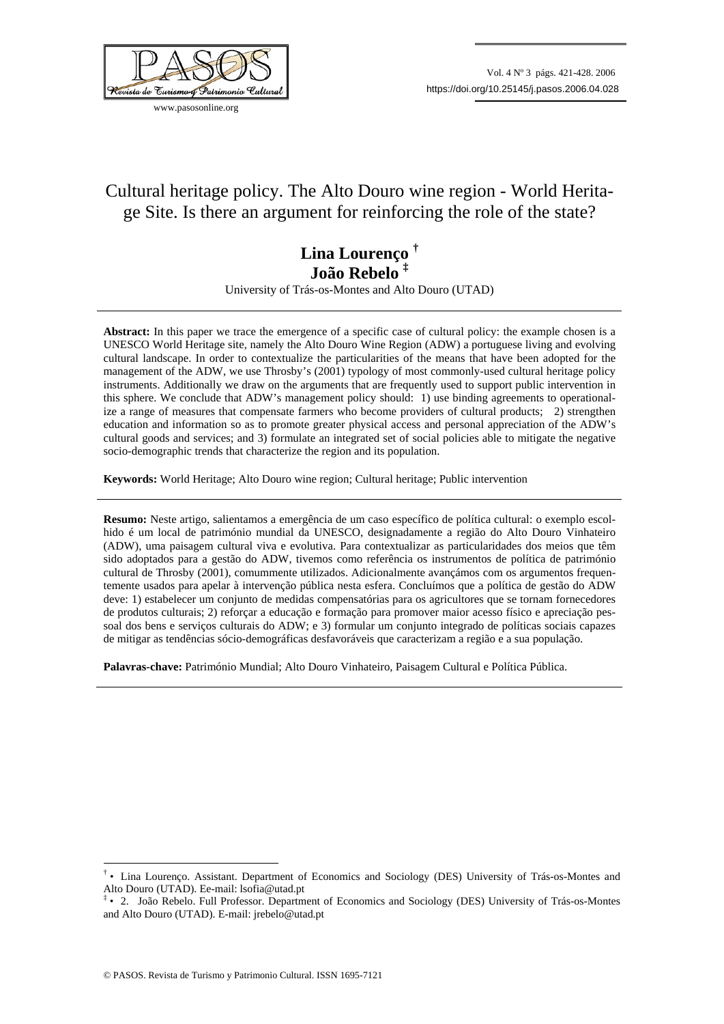

www.pasosonline.org

# Cultural heritage policy. The Alto Douro wine region - World Heritage Site. Is there an argument for reinforcing the role of the state?

## **Lina Lourenço † João Rebelo ‡**

University of Trás-os-Montes and Alto Douro (UTAD)

**Abstract:** In this paper we trace the emergence of a specific case of cultural policy: the example chosen is a UNESCO World Heritage site, namely the Alto Douro Wine Region (ADW) a portuguese living and evolving cultural landscape. In order to contextualize the particularities of the means that have been adopted for the management of the ADW, we use Throsby's (2001) typology of most commonly-used cultural heritage policy instruments. Additionally we draw on the arguments that are frequently used to support public intervention in this sphere. We conclude that ADW's management policy should: 1) use binding agreements to operationalize a range of measures that compensate farmers who become providers of cultural products; 2) strengthen education and information so as to promote greater physical access and personal appreciation of the ADW's cultural goods and services; and 3) formulate an integrated set of social policies able to mitigate the negative socio-demographic trends that characterize the region and its population.

**Keywords:** World Heritage; Alto Douro wine region; Cultural heritage; Public intervention

**Resumo:** Neste artigo, salientamos a emergência de um caso específico de política cultural: o exemplo escolhido é um local de património mundial da UNESCO, designadamente a região do Alto Douro Vinhateiro (ADW), uma paisagem cultural viva e evolutiva. Para contextualizar as particularidades dos meios que têm sido adoptados para a gestão do ADW, tivemos como referência os instrumentos de política de património cultural de Throsby (2001), comummente utilizados. Adicionalmente avançámos com os argumentos frequentemente usados para apelar à intervenção pública nesta esfera. Concluímos que a política de gestão do ADW deve: 1) estabelecer um conjunto de medidas compensatórias para os agricultores que se tornam fornecedores de produtos culturais; 2) reforçar a educação e formação para promover maior acesso físico e apreciação pessoal dos bens e serviços culturais do ADW; e 3) formular um conjunto integrado de políticas sociais capazes de mitigar as tendências sócio-demográficas desfavoráveis que caracterizam a região e a sua população.

**Palavras-chave:** Património Mundial; Alto Douro Vinhateiro, Paisagem Cultural e Política Pública.

1

<sup>†</sup> • Lina Lourenço. Assistant. Department of Economics and Sociology (DES) University of Trás-os-Montes and Alto Douro (UTAD). Ee-mail: lsofia@utad.pt

<sup>‡</sup> • 2. João Rebelo. Full Professor. Department of Economics and Sociology (DES) University of Trás-os-Montes and Alto Douro (UTAD). E-mail: jrebelo@utad.pt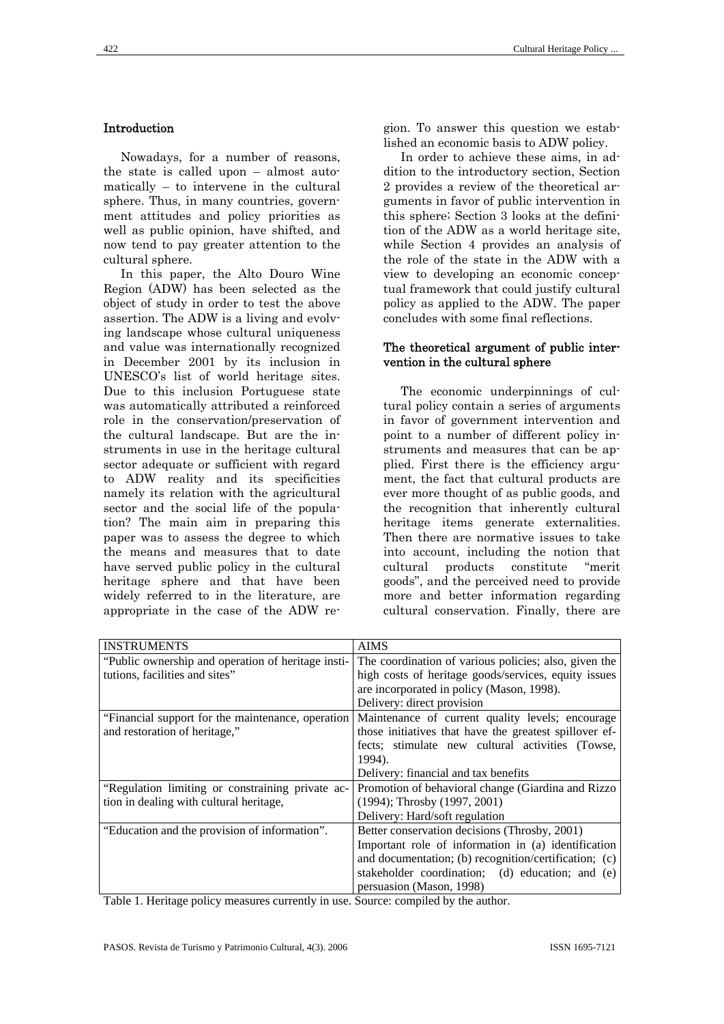## Introduction

Nowadays, for a number of reasons, the state is called upon – almost automatically – to intervene in the cultural sphere. Thus, in many countries, government attitudes and policy priorities as well as public opinion, have shifted, and now tend to pay greater attention to the cultural sphere.

In this paper, the Alto Douro Wine Region (ADW) has been selected as the object of study in order to test the above assertion. The ADW is a living and evolving landscape whose cultural uniqueness and value was internationally recognized in December 2001 by its inclusion in UNESCO's list of world heritage sites. Due to this inclusion Portuguese state was automatically attributed a reinforced role in the conservation/preservation of the cultural landscape. But are the instruments in use in the heritage cultural sector adequate or sufficient with regard to ADW reality and its specificities namely its relation with the agricultural sector and the social life of the population? The main aim in preparing this paper was to assess the degree to which the means and measures that to date have served public policy in the cultural heritage sphere and that have been widely referred to in the literature, are appropriate in the case of the ADW region. To answer this question we established an economic basis to ADW policy.

In order to achieve these aims, in addition to the introductory section, Section 2 provides a review of the theoretical arguments in favor of public intervention in this sphere; Section 3 looks at the definition of the ADW as a world heritage site, while Section 4 provides an analysis of the role of the state in the ADW with a view to developing an economic conceptual framework that could justify cultural policy as applied to the ADW. The paper concludes with some final reflections.

#### The theoretical argument of public intervention in the cultural sphere

The economic underpinnings of cultural policy contain a series of arguments in favor of government intervention and point to a number of different policy instruments and measures that can be applied. First there is the efficiency argument, the fact that cultural products are ever more thought of as public goods, and the recognition that inherently cultural heritage items generate externalities. Then there are normative issues to take into account, including the notion that cultural products constitute "merit goods", and the perceived need to provide more and better information regarding cultural conservation. Finally, there are

| <b>INSTRUMENTS</b>                                 | <b>AIMS</b>                                            |
|----------------------------------------------------|--------------------------------------------------------|
| "Public ownership and operation of heritage insti- | The coordination of various policies; also, given the  |
| tutions, facilities and sites"                     | high costs of heritage goods/services, equity issues   |
|                                                    | are incorporated in policy (Mason, 1998).              |
|                                                    | Delivery: direct provision                             |
| "Financial support for the maintenance, operation  | Maintenance of current quality levels; encourage       |
| and restoration of heritage,"                      | those initiatives that have the greatest spillover ef- |
|                                                    | fects; stimulate new cultural activities (Towse,       |
|                                                    | 1994).                                                 |
|                                                    | Delivery: financial and tax benefits                   |
| "Regulation limiting or constraining private ac-   | Promotion of behavioral change (Giardina and Rizzo     |
| tion in dealing with cultural heritage,            | $(1994)$ ; Throsby $(1997, 2001)$                      |
|                                                    | Delivery: Hard/soft regulation                         |
| "Education and the provision of information".      | Better conservation decisions (Throsby, 2001)          |
|                                                    | Important role of information in (a) identification    |
|                                                    | and documentation; (b) recognition/certification; (c)  |
|                                                    | stakeholder coordination; (d) education; and (e)       |
|                                                    | persuasion (Mason, 1998)                               |

Table 1. Heritage policy measures currently in use. Source: compiled by the author.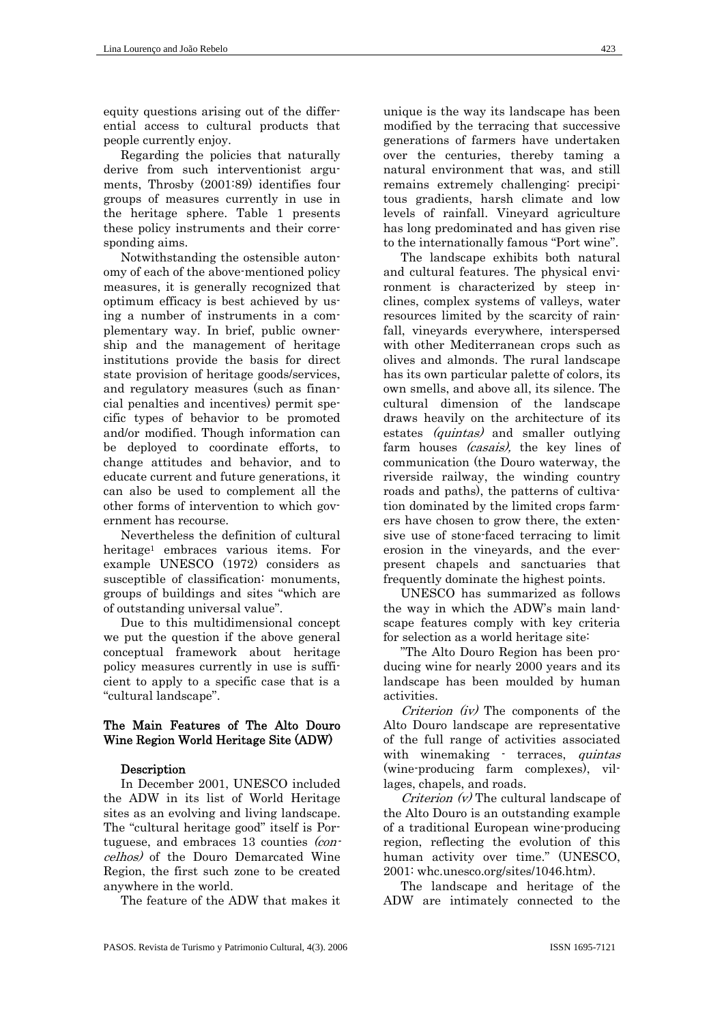equity questions arising out of the differential access to cultural products that people currently enjoy.

Regarding the policies that naturally derive from such interventionist arguments, Throsby (2001:89) identifies four groups of measures currently in use in the heritage sphere. Table 1 presents these policy instruments and their corresponding aims.

Notwithstanding the ostensible autonomy of each of the above-mentioned policy measures, it is generally recognized that optimum efficacy is best achieved by using a number of instruments in a complementary way. In brief, public ownership and the management of heritage institutions provide the basis for direct state provision of heritage goods/services, and regulatory measures (such as financial penalties and incentives) permit specific types of behavior to be promoted and/or modified. Though information can be deployed to coordinate efforts, to change attitudes and behavior, and to educate current and future generations, it can also be used to complement all the other forms of intervention to which government has recourse.

Nevertheless the definition of cultural heritage1 embraces various items. For example UNESCO (1972) considers as susceptible of classification: monuments, groups of buildings and sites "which are of outstanding universal value".

Due to this multidimensional concept we put the question if the above general conceptual framework about heritage policy measures currently in use is sufficient to apply to a specific case that is a "cultural landscape".

#### The Main Features of The Alto Douro Wine Region World Heritage Site (ADW)

#### **Description**

In December 2001, UNESCO included the ADW in its list of World Heritage sites as an evolving and living landscape. The "cultural heritage good" itself is Portuguese, and embraces 13 counties (concelhos) of the Douro Demarcated Wine Region, the first such zone to be created anywhere in the world.

The feature of the ADW that makes it

unique is the way its landscape has been modified by the terracing that successive generations of farmers have undertaken over the centuries, thereby taming a natural environment that was, and still remains extremely challenging: precipitous gradients, harsh climate and low levels of rainfall. Vineyard agriculture has long predominated and has given rise to the internationally famous "Port wine".

The landscape exhibits both natural and cultural features. The physical environment is characterized by steep inclines, complex systems of valleys, water resources limited by the scarcity of rainfall, vineyards everywhere, interspersed with other Mediterranean crops such as olives and almonds. The rural landscape has its own particular palette of colors, its own smells, and above all, its silence. The cultural dimension of the landscape draws heavily on the architecture of its estates *(quintas)* and smaller outlying farm houses *(casais)*, the key lines of communication (the Douro waterway, the riverside railway, the winding country roads and paths), the patterns of cultivation dominated by the limited crops farmers have chosen to grow there, the extensive use of stone-faced terracing to limit erosion in the vineyards, and the everpresent chapels and sanctuaries that frequently dominate the highest points.

UNESCO has summarized as follows the way in which the ADW's main landscape features comply with key criteria for selection as a world heritage site:

"The Alto Douro Region has been producing wine for nearly 2000 years and its landscape has been moulded by human activities.

Criterion (iv) The components of the Alto Douro landscape are representative of the full range of activities associated with winemaking - terraces, *quintas* (wine-producing farm complexes), villages, chapels, and roads.

Criterion (v) The cultural landscape of the Alto Douro is an outstanding example of a traditional European wine-producing region, reflecting the evolution of this human activity over time." (UNESCO, 2001: whc.unesco.org/sites/1046.htm).

The landscape and heritage of the ADW are intimately connected to the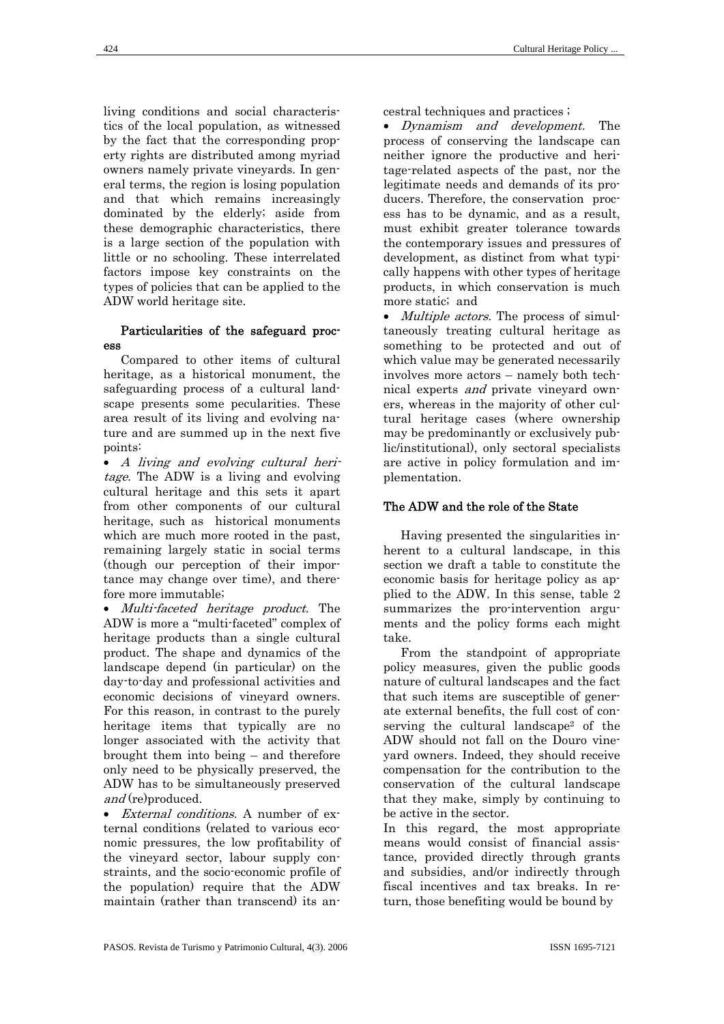living conditions and social characteristics of the local population, as witnessed by the fact that the corresponding property rights are distributed among myriad owners namely private vineyards. In general terms, the region is losing population and that which remains increasingly dominated by the elderly; aside from these demographic characteristics, there is a large section of the population with little or no schooling. These interrelated factors impose key constraints on the types of policies that can be applied to the ADW world heritage site.

#### Particularities of the safeguard process

Compared to other items of cultural heritage, as a historical monument, the safeguarding process of a cultural landscape presents some pecularities. These area result of its living and evolving nature and are summed up in the next five points:

• A living and evolving cultural heritage. The ADW is a living and evolving cultural heritage and this sets it apart from other components of our cultural heritage, such as historical monuments which are much more rooted in the past, remaining largely static in social terms (though our perception of their importance may change over time), and therefore more immutable;

• Multi-faceted heritage product. The ADW is more a "multi-faceted" complex of heritage products than a single cultural product. The shape and dynamics of the landscape depend (in particular) on the day-to-day and professional activities and economic decisions of vineyard owners. For this reason, in contrast to the purely heritage items that typically are no longer associated with the activity that brought them into being – and therefore only need to be physically preserved, the ADW has to be simultaneously preserved and (re)produced.

• External conditions. A number of external conditions (related to various economic pressures, the low profitability of the vineyard sector, labour supply constraints, and the socio-economic profile of the population) require that the ADW maintain (rather than transcend) its ancestral techniques and practices ;

• Dynamism and development. The process of conserving the landscape can neither ignore the productive and heritage-related aspects of the past, nor the legitimate needs and demands of its producers. Therefore, the conservation process has to be dynamic, and as a result, must exhibit greater tolerance towards the contemporary issues and pressures of development, as distinct from what typically happens with other types of heritage products, in which conservation is much more static; and

• *Multiple actors*. The process of simultaneously treating cultural heritage as something to be protected and out of which value may be generated necessarily involves more actors – namely both technical experts and private vineyard owners, whereas in the majority of other cultural heritage cases (where ownership may be predominantly or exclusively public/institutional), only sectoral specialists are active in policy formulation and implementation.

## The ADW and the role of the State

Having presented the singularities inherent to a cultural landscape, in this section we draft a table to constitute the economic basis for heritage policy as applied to the ADW. In this sense, table 2 summarizes the pro-intervention arguments and the policy forms each might take.

From the standpoint of appropriate policy measures, given the public goods nature of cultural landscapes and the fact that such items are susceptible of generate external benefits, the full cost of conserving the cultural landscape2 of the ADW should not fall on the Douro vineyard owners. Indeed, they should receive compensation for the contribution to the conservation of the cultural landscape that they make, simply by continuing to be active in the sector.

In this regard, the most appropriate means would consist of financial assistance, provided directly through grants and subsidies, and/or indirectly through fiscal incentives and tax breaks. In return, those benefiting would be bound by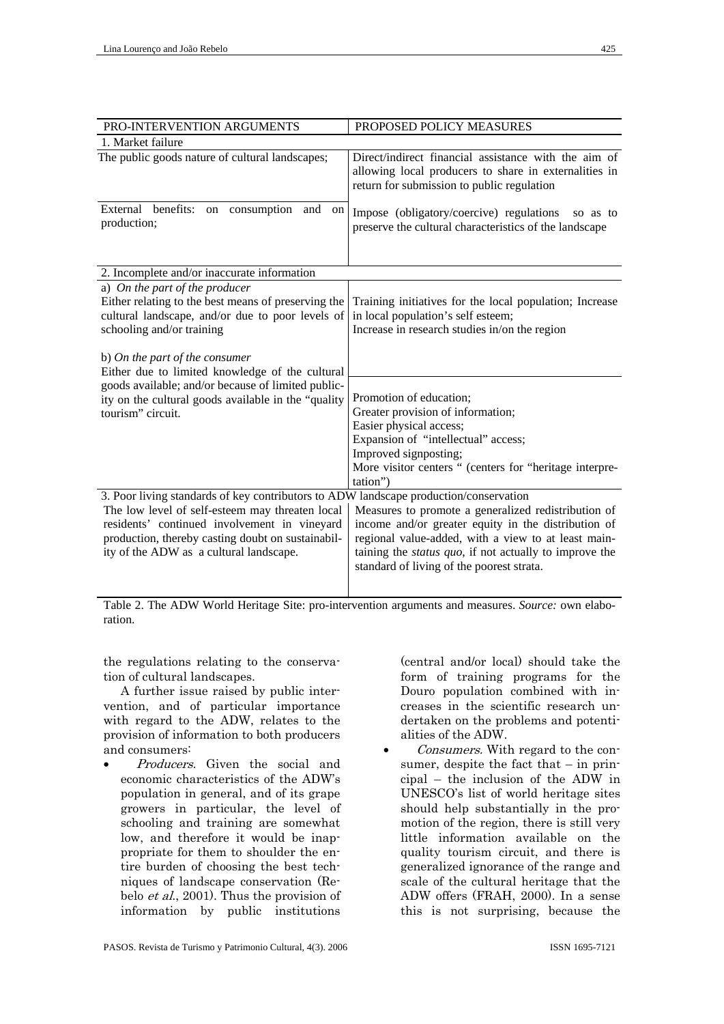| PRO-INTERVENTION ARGUMENTS                                                                                                                                                                                                                                                               | PROPOSED POLICY MEASURES                                                                                                                                                                                                                                                         |  |
|------------------------------------------------------------------------------------------------------------------------------------------------------------------------------------------------------------------------------------------------------------------------------------------|----------------------------------------------------------------------------------------------------------------------------------------------------------------------------------------------------------------------------------------------------------------------------------|--|
| 1. Market failure                                                                                                                                                                                                                                                                        |                                                                                                                                                                                                                                                                                  |  |
| The public goods nature of cultural landscapes;                                                                                                                                                                                                                                          | Direct/indirect financial assistance with the aim of<br>allowing local producers to share in externalities in<br>return for submission to public regulation                                                                                                                      |  |
| benefits:<br>External<br>consumption<br>and<br>on<br>on<br>production;                                                                                                                                                                                                                   | Impose (obligatory/coercive) regulations<br>so as to<br>preserve the cultural characteristics of the landscape                                                                                                                                                                   |  |
| 2. Incomplete and/or inaccurate information                                                                                                                                                                                                                                              |                                                                                                                                                                                                                                                                                  |  |
| a) On the part of the producer<br>Either relating to the best means of preserving the<br>cultural landscape, and/or due to poor levels of<br>schooling and/or training                                                                                                                   | Training initiatives for the local population; Increase<br>in local population's self esteem;<br>Increase in research studies in/on the region                                                                                                                                   |  |
| b) On the part of the consumer<br>Either due to limited knowledge of the cultural<br>goods available; and/or because of limited public-<br>ity on the cultural goods available in the "quality                                                                                           | Promotion of education;<br>Greater provision of information;                                                                                                                                                                                                                     |  |
| tourism" circuit.                                                                                                                                                                                                                                                                        | Easier physical access;<br>Expansion of "intellectual" access;<br>Improved signposting;<br>More visitor centers " (centers for "heritage interpre-<br>tation")                                                                                                                   |  |
| 3. Poor living standards of key contributors to ADW landscape production/conservation<br>The low level of self-esteem may threaten local<br>residents' continued involvement in vineyard<br>production, thereby casting doubt on sustainabil-<br>ity of the ADW as a cultural landscape. | Measures to promote a generalized redistribution of<br>income and/or greater equity in the distribution of<br>regional value-added, with a view to at least main-<br>taining the <i>status quo</i> , if not actually to improve the<br>standard of living of the poorest strata. |  |
| $\mathbf{T} \cdot \mathbf{1} \cdot \mathbf{1} \cdot \mathbf{2} \cdot \mathbf{1} \cdot \mathbf{3}$<br>$\lambda$ DIV W. $\lambda$ 1.1 H. $\lambda$<br>cu.                                                                                                                                  |                                                                                                                                                                                                                                                                                  |  |

Table 2. The ADW World Heritage Site: pro-intervention arguments and measures. *Source:* own elaboration.

the regulations relating to the conservation of cultural landscapes.

A further issue raised by public intervention, and of particular importance with regard to the ADW, relates to the provision of information to both producers and consumers:

• Producers. Given the social and economic characteristics of the ADW's population in general, and of its grape growers in particular, the level of schooling and training are somewhat low, and therefore it would be inappropriate for them to shoulder the entire burden of choosing the best techniques of landscape conservation (Rebelo et al., 2001). Thus the provision of information by public institutions

(central and/or local) should take the form of training programs for the Douro population combined with increases in the scientific research undertaken on the problems and potentialities of the ADW.

Consumers. With regard to the consumer, despite the fact that – in principal – the inclusion of the ADW in UNESCO's list of world heritage sites should help substantially in the promotion of the region, there is still very little information available on the quality tourism circuit, and there is generalized ignorance of the range and scale of the cultural heritage that the ADW offers (FRAH, 2000). In a sense this is not surprising, because the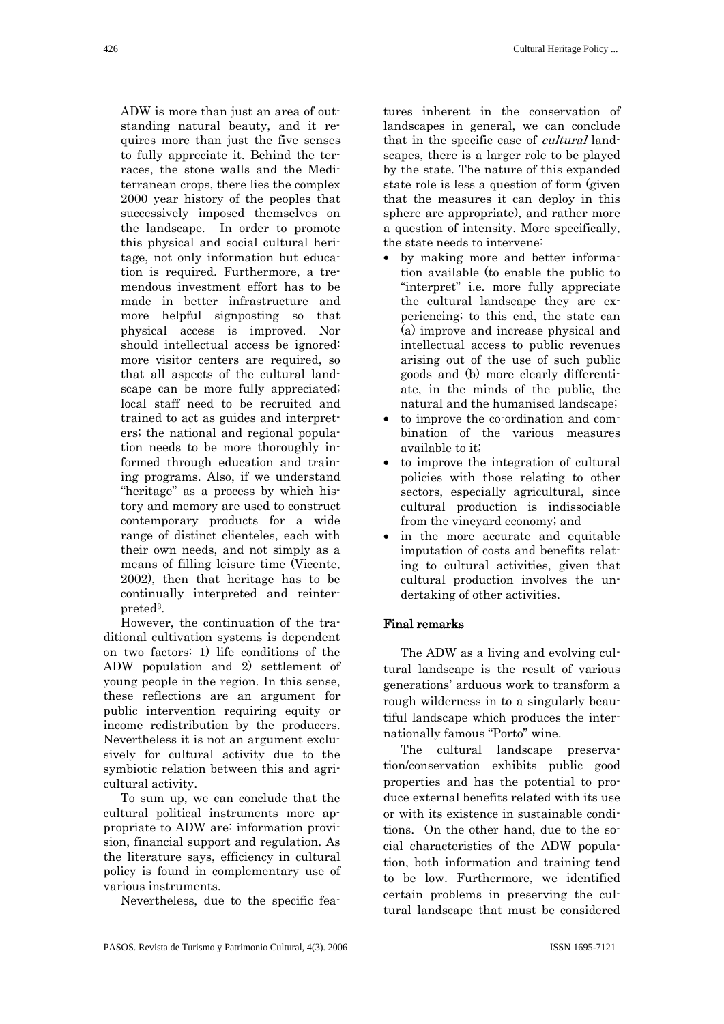ADW is more than just an area of outstanding natural beauty, and it requires more than just the five senses to fully appreciate it. Behind the terraces, the stone walls and the Mediterranean crops, there lies the complex 2000 year history of the peoples that successively imposed themselves on the landscape. In order to promote this physical and social cultural heritage, not only information but education is required. Furthermore, a tremendous investment effort has to be made in better infrastructure and more helpful signposting so that physical access is improved. Nor should intellectual access be ignored: more visitor centers are required, so that all aspects of the cultural landscape can be more fully appreciated; local staff need to be recruited and trained to act as guides and interpreters; the national and regional population needs to be more thoroughly informed through education and training programs. Also, if we understand "heritage" as a process by which history and memory are used to construct contemporary products for a wide range of distinct clienteles, each with their own needs, and not simply as a means of filling leisure time (Vicente, 2002), then that heritage has to be continually interpreted and reinterpreted3.

However, the continuation of the traditional cultivation systems is dependent on two factors: 1) life conditions of the ADW population and 2) settlement of young people in the region. In this sense, these reflections are an argument for public intervention requiring equity or income redistribution by the producers. Nevertheless it is not an argument exclusively for cultural activity due to the symbiotic relation between this and agricultural activity.

To sum up, we can conclude that the cultural political instruments more appropriate to ADW are: information provision, financial support and regulation. As the literature says, efficiency in cultural policy is found in complementary use of various instruments.

Nevertheless, due to the specific fea-

tures inherent in the conservation of landscapes in general, we can conclude that in the specific case of *cultural* landscapes, there is a larger role to be played by the state. The nature of this expanded state role is less a question of form (given that the measures it can deploy in this sphere are appropriate), and rather more a question of intensity. More specifically, the state needs to intervene:

- by making more and better information available (to enable the public to "interpret" i.e. more fully appreciate the cultural landscape they are experiencing; to this end, the state can (a) improve and increase physical and intellectual access to public revenues arising out of the use of such public goods and (b) more clearly differentiate, in the minds of the public, the natural and the humanised landscape;
- to improve the co-ordination and combination of the various measures available to it;
- to improve the integration of cultural policies with those relating to other sectors, especially agricultural, since cultural production is indissociable from the vineyard economy; and
- in the more accurate and equitable imputation of costs and benefits relating to cultural activities, given that cultural production involves the undertaking of other activities.

## Final remarks

The ADW as a living and evolving cultural landscape is the result of various generations' arduous work to transform a rough wilderness in to a singularly beautiful landscape which produces the internationally famous "Porto" wine.

The cultural landscape preservation/conservation exhibits public good properties and has the potential to produce external benefits related with its use or with its existence in sustainable conditions. On the other hand, due to the social characteristics of the ADW population, both information and training tend to be low. Furthermore, we identified certain problems in preserving the cultural landscape that must be considered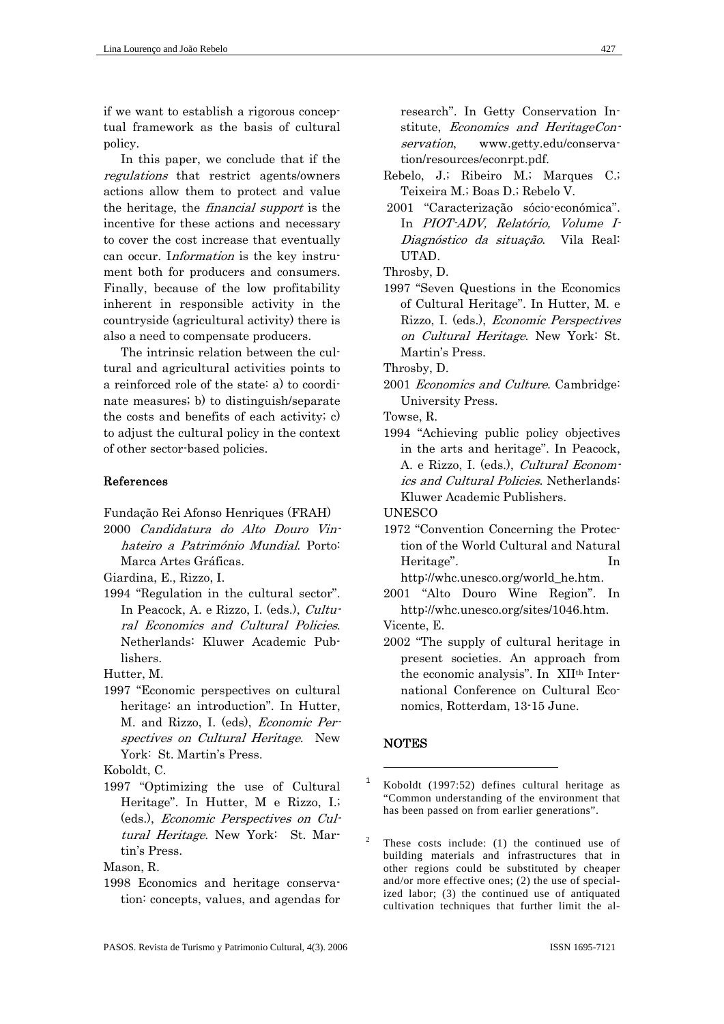if we want to establish a rigorous conceptual framework as the basis of cultural policy.

In this paper, we conclude that if the regulations that restrict agents/owners actions allow them to protect and value the heritage, the financial support is the incentive for these actions and necessary to cover the cost increase that eventually can occur. Information is the key instrument both for producers and consumers. Finally, because of the low profitability inherent in responsible activity in the countryside (agricultural activity) there is also a need to compensate producers.

The intrinsic relation between the cultural and agricultural activities points to a reinforced role of the state: a) to coordinate measures; b) to distinguish/separate the costs and benefits of each activity; c) to adjust the cultural policy in the context of other sector-based policies.

#### References

Fundação Rei Afonso Henriques (FRAH) 2000 Candidatura do Alto Douro Vinhateiro a Património Mundial. Porto: Marca Artes Gráficas.

Giardina, E., Rizzo, I.

1994 "Regulation in the cultural sector". In Peacock, A. e Rizzo, I. (eds.), Cultural Economics and Cultural Policies. Netherlands: Kluwer Academic Publishers.

Hutter, M.

1997 "Economic perspectives on cultural heritage: an introduction". In Hutter, M. and Rizzo, I. (eds), Economic Perspectives on Cultural Heritage. New York: St. Martin's Press.

Koboldt, C.

1997 "Optimizing the use of Cultural Heritage". In Hutter, M e Rizzo, I.; (eds.), Economic Perspectives on Cultural Heritage. New York: St. Martin's Press.

Mason, R.

1998 Economics and heritage conservation: concepts, values, and agendas for research". In Getty Conservation Institute, Economics and HeritageConservation, www.getty.edu/conservation/resources/econrpt.pdf.

- Rebelo, J.; Ribeiro M.; Marques C.; Teixeira M.; Boas D.; Rebelo V.
- 2001 "Caracterização sócio-económica". In PIOT-ADV, Relatório, Volume I-Diagnóstico da situação. Vila Real: UTAD.

Throsby, D.

1997 "Seven Questions in the Economics of Cultural Heritage". In Hutter, M. e Rizzo, I. (eds.), Economic Perspectives on Cultural Heritage. New York: St. Martin's Press.

Throsby, D.

2001 Economics and Culture. Cambridge: University Press.

Towse, R.

1994 "Achieving public policy objectives in the arts and heritage". In Peacock, A. e Rizzo, I. (eds.), Cultural Economics and Cultural Policies. Netherlands: Kluwer Academic Publishers.

**UNESCO** 

1972 "Convention Concerning the Protection of the World Cultural and Natural Heritage". In http://whc.unesco.org/world\_he.htm.

2001 "Alto Douro Wine Region". In http://whc.unesco.org/sites/1046.htm.

Vicente, E.

2002 "The supply of cultural heritage in present societies. An approach from the economic analysis". In XIIth International Conference on Cultural Economics, Rotterdam, 13-15 June.

#### **NOTES**

1

1 Koboldt (1997:52) defines cultural heritage as "Common understanding of the environment that has been passed on from earlier generations".

<sup>2</sup> These costs include: (1) the continued use of building materials and infrastructures that in other regions could be substituted by cheaper and/or more effective ones; (2) the use of specialized labor; (3) the continued use of antiquated cultivation techniques that further limit the al-